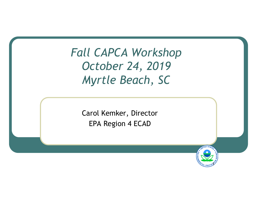*Fall CAPCA Workshop October 24, 2019 Myrtle Beach, SC* 

> Carol Kemker, Director EPA Region 4 ECAD

> > $\mathcal{P}$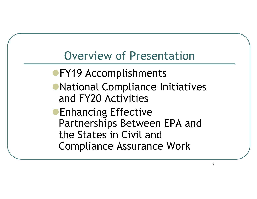# Overview of Presentation

- **FY19 Accomplishments**
- **National Compliance Initiatives** and FY20 Activities
- **Enhancing Effective** Partnerships Between EPA and the States in Civil and Compliance Assurance Work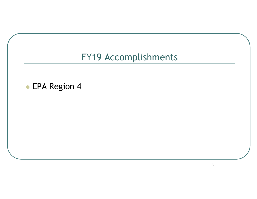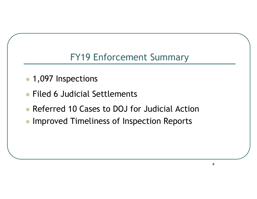# FY19 Enforcement Summary

- 1,097 Inspections
- Filed 6 Judicial Settlements
- **Referred 10 Cases to DOJ for Judicial Action**
- **Improved Timeliness of Inspection Reports**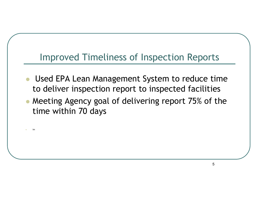# Improved Timeliness of Inspection Reports

- Used EPA Lean Management System to reduce time to deliver inspection report to inspected facilities
- Meeting Agency goal of delivering report 75% of the time within 70 days

<sup>l</sup> Im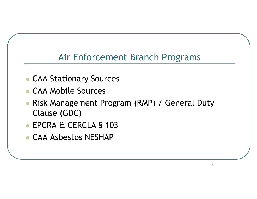## Air Enforcement Branch Programs

- **CAA Stationary Sources**
- <sup>l</sup> CAA Mobile Sources
- Risk Management Program (RMP) / General Duty Clause (GDC)
- **EPCRA & CERCLA § 103**
- **CAA Asbestos NESHAP**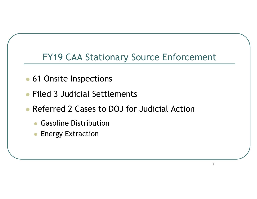## FY19 CAA Stationary Source Enforcement

- 61 Onsite Inspections
- Filed 3 Judicial Settlements
- **Referred 2 Cases to DOJ for Judicial Action** 
	- **Gasoline Distribution**
	- **Energy Extraction**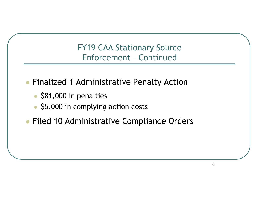FY19 CAA Stationary Source Enforcement – Continued

- **Finalized 1 Administrative Penalty Action** 
	- $\bullet$  \$81,000 in penalties
	- \$5,000 in complying action costs
- **Filed 10 Administrative Compliance Orders**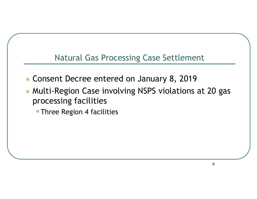#### Natural Gas Processing Case Settlement

- Consent Decree entered on January 8, 2019
- Multi-Region Case involving NSPS violations at 20 gas processing facilities

• Three Region 4 facilities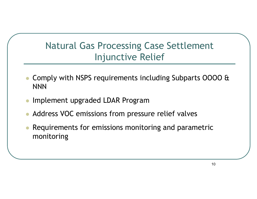# Natural Gas Processing Case Settlement Injunctive Relief

- <sup>l</sup> Comply with NSPS requirements including Subparts OOOO & NNN
- <sup>l</sup> Implement upgraded LDAR Program
- Address VOC emissions from pressure relief valves
- Requirements for emissions monitoring and parametric monitoring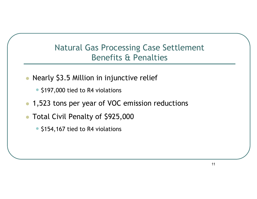## Natural Gas Processing Case Settlement Benefits & Penalties

- Nearly \$3.5 Million in injunctive relief
	- \$197,000 tied to R4 violations
- 1,523 tons per year of VOC emission reductions
- **Total Civil Penalty of \$925,000** 
	- \$154,167 tied to R4 violations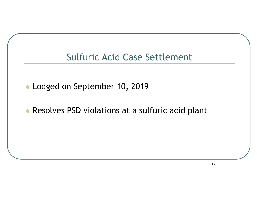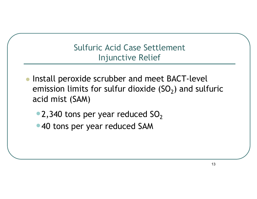## Sulfuric Acid Case Settlement Injunctive Relief

- Install peroxide scrubber and meet BACT-level emission limits for sulfur dioxide  $(SO<sub>2</sub>)$  and sulfuric acid mist (SAM)
	- 2,340 tons per year reduced  $SO<sub>2</sub>$
	- •40 tons per year reduced SAM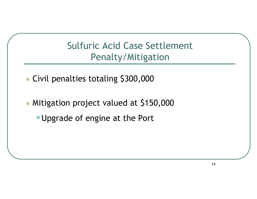# Sulfuric Acid Case Settlement Penalty/Mitigation

- Civil penalties totaling \$300,000
- Mitigation project valued at \$150,000
	- •Upgrade of engine at the Port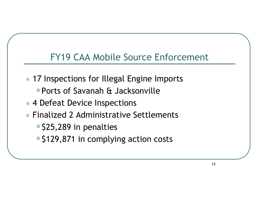## FY19 CAA Mobile Source Enforcement

- 17 Inspections for Illegal Engine Imports
	- •Ports of Savanah & Jacksonville
- 4 Defeat Device Inspections
- <sup>l</sup> Finalized 2 Administrative Settlements
	- \$25,289 in penalties
	- \$129,871 in complying action costs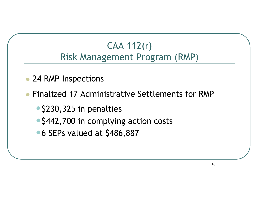# CAA 112(r) Risk Management Program (RMP)

- 24 RMP Inspections
- Finalized 17 Administrative Settlements for RMP
	- \$230,325 in penalties
	- \$442,700 in complying action costs
	- 6 SEPs valued at \$486,887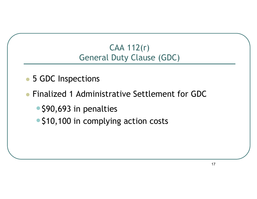## CAA 112(r) General Duty Clause (GDC)

- 5 GDC Inspections
- **Finalized 1 Administrative Settlement for GDC** 
	- \$90,693 in penalties
	- \$10,100 in complying action costs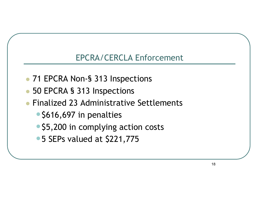## EPCRA/CERCLA Enforcement

- 71 EPCRA Non-§ 313 Inspections
- 50 EPCRA § 313 Inspections
- **Finalized 23 Administrative Settlements** 
	- \$616,697 in penalties
	- \$5,200 in complying action costs
	- 5 SEPs valued at \$221,775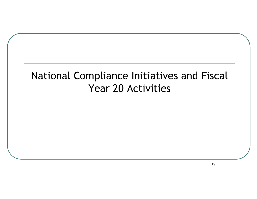# National Compliance Initiatives and Fiscal Year 20 Activities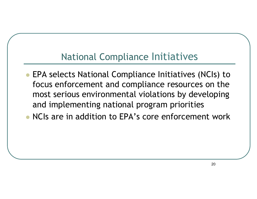# National Compliance Initiatives

**• EPA selects National Compliance Initiatives (NCIs) to** focus enforcement and compliance resources on the most serious environmental violations by developing and implementing national program priorities

• NCIs are in addition to EPA's core enforcement work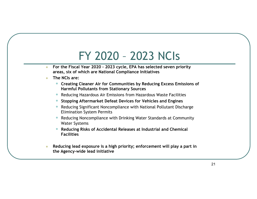# FY 2020 – 2023 NCIs

- **For the Fiscal Year 2020 2023 cycle, EPA has selected seven priority areas, six of which are National Compliance Initiatives**
- **c** The NCIs are:
	- **Creating Cleaner Air for Communities by Reducing Excess Emissions of Harmful Pollutants from Stationary Sources**
	- Reducing Hazardous Air Emissions from Hazardous Waste Facilities
	- **Stopping Aftermarket Defeat Devices for Vehicles and Engines**
	- Reducing Significant Noncompliance with National Pollutant Discharge Elimination System Permits
	- Reducing Noncompliance with Drinking Water Standards at Community Water Systems
	- **Reducing Risks of Accidental Releases at Industrial and Chemical Facilities**
- <sup>l</sup> **Reducing lead exposure is a high priority; enforcement will play a part in the Agency-wide lead initiative**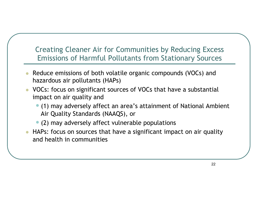#### Creating Cleaner Air for Communities by Reducing Excess Emissions of Harmful Pollutants from Stationary Sources

- Reduce emissions of both volatile organic compounds (VOCs) and hazardous air pollutants (HAPs)
- l VOCs: focus on significant sources of VOCs that have a substantial impact on air quality and
	- •(1) may adversely affect an area's attainment of National Ambient Air Quality Standards (NAAQS), or
	- (2) may adversely affect vulnerable populations
- HAPs: focus on sources that have a significant impact on air quality and health in communities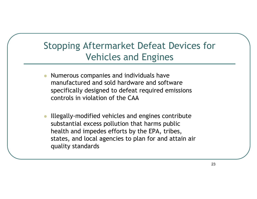# Stopping Aftermarket Defeat Devices for Vehicles and Engines

- l Numerous companies and individuals have manufactured and sold hardware and software specifically designed to defeat required emissions controls in violation of the CAA
- <sup>l</sup> Illegally-modified vehicles and engines contribute substantial excess pollution that harms public health and impedes efforts by the EPA, tribes, states, and local agencies to plan for and attain air quality standards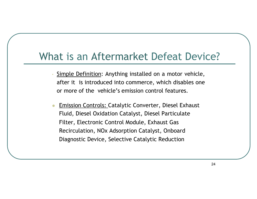# What is an Aftermarket Defeat Device?

- Simple Definition: Anything installed on a motor vehicle, after it is introduced into commerce, which disables one or more of the vehicle's emission control features.
- Emission Controls: Catalytic Converter, Diesel Exhaust Fluid, Diesel Oxidation Catalyst, Diesel Particulate Filter, Electronic Control Module, Exhaust Gas Recirculation, NOx Adsorption Catalyst, Onboard Diagnostic Device, Selective Catalytic Reduction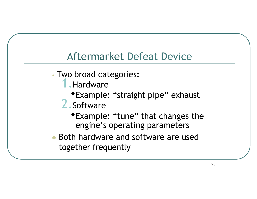# Aftermarket Defeat Device

- Two broad categories:
	- 1.Hardware
		- •Example: "straight pipe" exhaust
	- 2.Software
		- •Example: "tune" that changes the engine's operating parameters
- Both hardware and software are used together frequently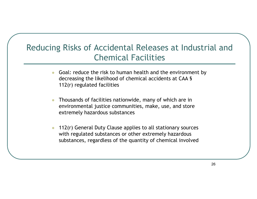## Reducing Risks of Accidental Releases at Industrial and Chemical Facilities

- Goal: reduce the risk to human health and the environment by decreasing the likelihood of chemical accidents at CAA § 112(r) regulated facilities
- l Thousands of facilities nationwide, many of which are in environmental justice communities, make, use, and store extremely hazardous substances
- $\bullet$  112(r) General Duty Clause applies to all stationary sources with regulated substances or other extremely hazardous substances, regardless of the quantity of chemical involved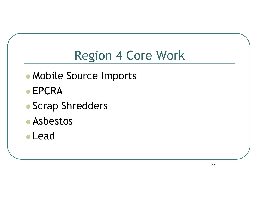# Region 4 Core Work

- Mobile Source Imports
- $\bullet$  EPCRA
- Scrap Shredders
- **Asbestos**
- l Lead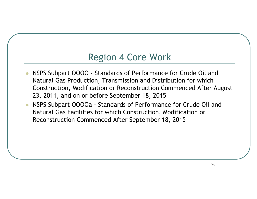## Region 4 Core Work

- l NSPS Subpart OOOO Standards of Performance for Crude Oil and Natural Gas Production, Transmission and Distribution for which Construction, Modification or Reconstruction Commenced After August 23, 2011, and on or before September 18, 2015
- NSPS Subpart OOOOa Standards of Performance for Crude Oil and Natural Gas Facilities for which Construction, Modification or Reconstruction Commenced After September 18, 2015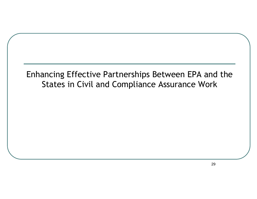## Enhancing Effective Partnerships Between EPA and the States in Civil and Compliance Assurance Work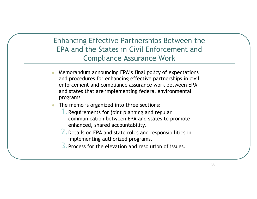#### Enhancing Effective Partnerships Between the EPA and the States in Civil Enforcement and Compliance Assurance Work

- l Memorandum announcing EPA's final policy of expectations and procedures for enhancing effective partnerships in civil enforcement and compliance assurance work between EPA and states that are implementing federal environmental programs
- The memo is organized into three sections:
	- 1.Requirements for joint planning and regular communication between EPA and states to promote enhanced, shared accountability.
	- 2.Details on EPA and state roles and responsibilities in implementing authorized programs.
	- 3.Process for the elevation and resolution of issues.